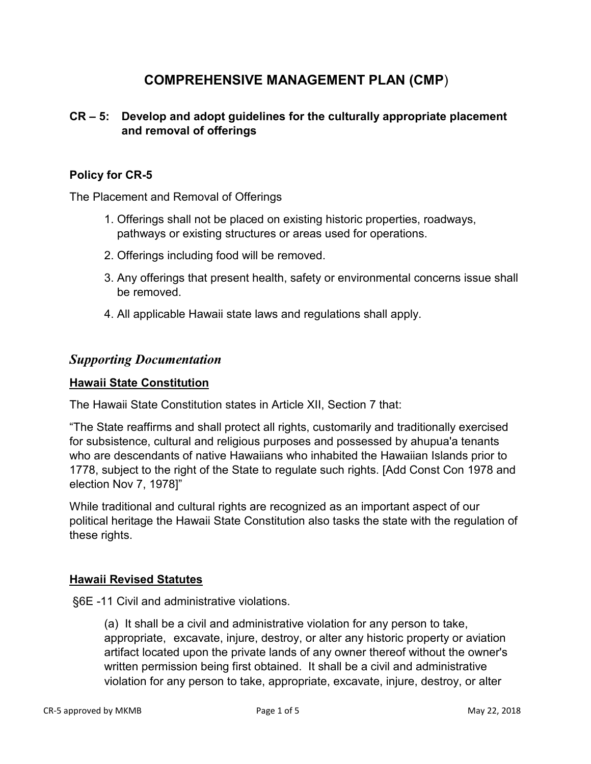# **COMPREHENSIVE MANAGEMENT PLAN (CMP**)

# **CR – 5: Develop and adopt guidelines for the culturally appropriate placement and removal of offerings**

### **Policy for CR-5**

The Placement and Removal of Offerings

- 1. Offerings shall not be placed on existing historic properties, roadways, pathways or existing structures or areas used for operations.
- 2. Offerings including food will be removed.
- 3. Any offerings that present health, safety or environmental concerns issue shall be removed.
- 4. All applicable Hawaii state laws and regulations shall apply.

# *Supporting Documentation*

#### **Hawaii State Constitution**

The Hawaii State Constitution states in Article XII, Section 7 that:

"The State reaffirms and shall protect all rights, customarily and traditionally exercised for subsistence, cultural and religious purposes and possessed by ahupua'a tenants who are descendants of native Hawaiians who inhabited the Hawaiian Islands prior to 1778, subject to the right of the State to regulate such rights. [Add Const Con 1978 and election Nov 7, 1978]"

While traditional and cultural rights are recognized as an important aspect of our political heritage the Hawaii State Constitution also tasks the state with the regulation of these rights.

#### **Hawaii Revised Statutes**

§6E -11 Civil and administrative violations.

(a) It shall be a civil and administrative violation for any person to take, appropriate, excavate, injure, destroy, or alter any historic property or aviation artifact located upon the private lands of any owner thereof without the owner's written permission being first obtained. It shall be a civil and administrative violation for any person to take, appropriate, excavate, injure, destroy, or alter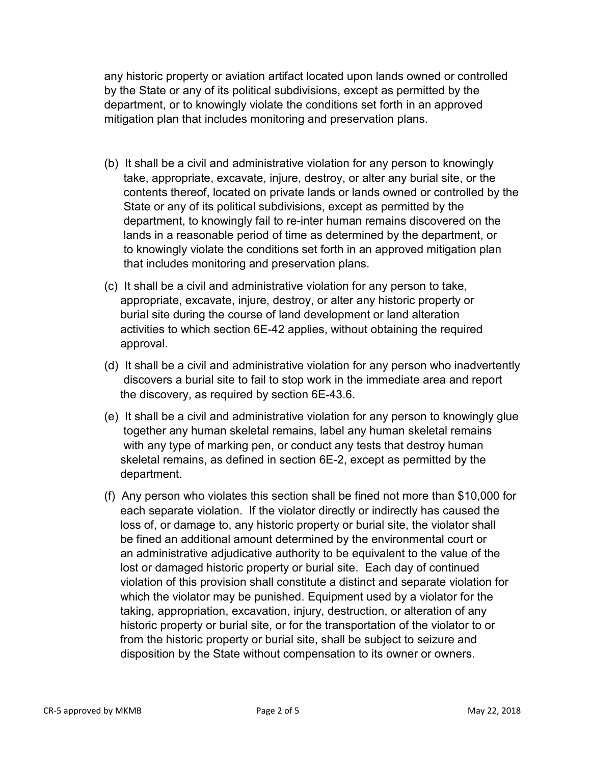any historic property or aviation artifact located upon lands owned or controlled by the State or any of its political subdivisions, except as permitted by the department, or to knowingly violate the conditions set forth in an approved mitigation plan that includes monitoring and preservation plans.

- (b) It shall be a civil and administrative violation for any person to knowingly take, appropriate, excavate, injure, destroy, or alter any burial site, or the contents thereof, located on private lands or lands owned or controlled by the State or any of its political subdivisions, except as permitted by the department, to knowingly fail to re-inter human remains discovered on the lands in a reasonable period of time as determined by the department, or to knowingly violate the conditions set forth in an approved mitigation plan that includes monitoring and preservation plans.
- (c) It shall be a civil and administrative violation for any person to take, appropriate, excavate, injure, destroy, or alter any historic property or burial site during the course of land development or land alteration activities to which section 6E-42 applies, without obtaining the required approval.
- (d) It shall be a civil and administrative violation for any person who inadvertently discovers a burial site to fail to stop work in the immediate area and report the discovery, as required by section 6E-43.6.
- (e) It shall be a civil and administrative violation for any person to knowingly glue together any human skeletal remains, label any human skeletal remains with any type of marking pen, or conduct any tests that destroy human skeletal remains, as defined in section 6E-2, except as permitted by the department.
- (f) Any person who violates this section shall be fined not more than \$10,000 for each separate violation. If the violator directly or indirectly has caused the loss of, or damage to, any historic property or burial site, the violator shall be fined an additional amount determined by the environmental court or an administrative adjudicative authority to be equivalent to the value of the lost or damaged historic property or burial site. Each day of continued violation of this provision shall constitute a distinct and separate violation for which the violator may be punished. Equipment used by a violator for the taking, appropriation, excavation, injury, destruction, or alteration of any historic property or burial site, or for the transportation of the violator to or from the historic property or burial site, shall be subject to seizure and disposition by the State without compensation to its owner or owners.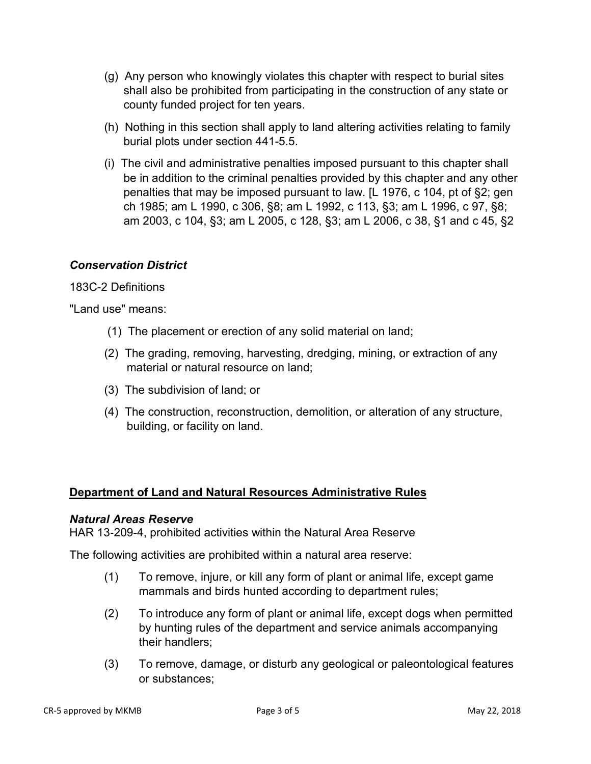- (g) Any person who knowingly violates this chapter with respect to burial sites shall also be prohibited from participating in the construction of any state or county funded project for ten years.
- (h) Nothing in this section shall apply to land altering activities relating to family burial plots under section 441-5.5.
- (i) The civil and administrative penalties imposed pursuant to this chapter shall be in addition to the criminal penalties provided by this chapter and any other penalties that may be imposed pursuant to law. [L 1976, c 104, pt of §2; gen ch 1985; am L 1990, c 306, §8; am L 1992, c 113, §3; am L 1996, c 97, §8; am 2003, c 104, §3; am L 2005, c 128, §3; am L 2006, c 38, §1 and c 45, §2

# *Conservation District*

#### 183C-2 Definitions

"Land use" means:

- (1) The placement or erection of any solid material on land;
- (2) The grading, removing, harvesting, dredging, mining, or extraction of any material or natural resource on land;
- (3) The subdivision of land; or
- (4) The construction, reconstruction, demolition, or alteration of any structure, building, or facility on land.

# **Department of Land and Natural Resources Administrative Rules**

#### *Natural Areas Reserve*

HAR 13‐209-4, prohibited activities within the Natural Area Reserve

The following activities are prohibited within a natural area reserve:

- (1) To remove, injure, or kill any form of plant or animal life, except game mammals and birds hunted according to department rules;
- (2) To introduce any form of plant or animal life, except dogs when permitted by hunting rules of the department and service animals accompanying their handlers;
- (3) To remove, damage, or disturb any geological or paleontological features or substances;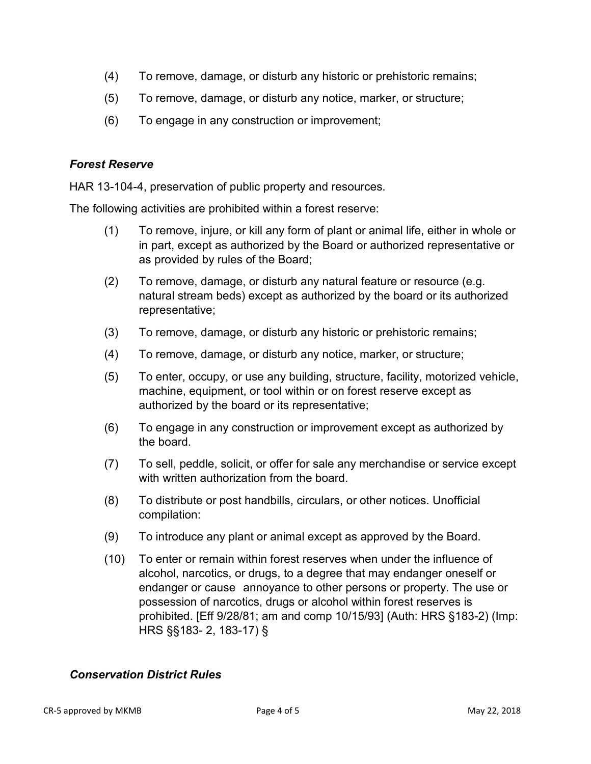- (4) To remove, damage, or disturb any historic or prehistoric remains;
- (5) To remove, damage, or disturb any notice, marker, or structure;
- (6) To engage in any construction or improvement;

#### *Forest Reserve*

HAR 13-104-4, preservation of public property and resources.

The following activities are prohibited within a forest reserve:

- (1) To remove, injure, or kill any form of plant or animal life, either in whole or in part, except as authorized by the Board or authorized representative or as provided by rules of the Board;
- (2) To remove, damage, or disturb any natural feature or resource (e.g. natural stream beds) except as authorized by the board or its authorized representative;
- (3) To remove, damage, or disturb any historic or prehistoric remains;
- (4) To remove, damage, or disturb any notice, marker, or structure;
- (5) To enter, occupy, or use any building, structure, facility, motorized vehicle, machine, equipment, or tool within or on forest reserve except as authorized by the board or its representative;
- (6) To engage in any construction or improvement except as authorized by the board.
- (7) To sell, peddle, solicit, or offer for sale any merchandise or service except with written authorization from the board.
- (8) To distribute or post handbills, circulars, or other notices. Unofficial compilation:
- (9) To introduce any plant or animal except as approved by the Board.
- (10) To enter or remain within forest reserves when under the influence of alcohol, narcotics, or drugs, to a degree that may endanger oneself or endanger or cause annoyance to other persons or property. The use or possession of narcotics, drugs or alcohol within forest reserves is prohibited. [Eff 9/28/81; am and comp 10/15/93] (Auth: HRS §183-2) (Imp: HRS §§183- 2, 183-17) §

#### *Conservation District Rules*